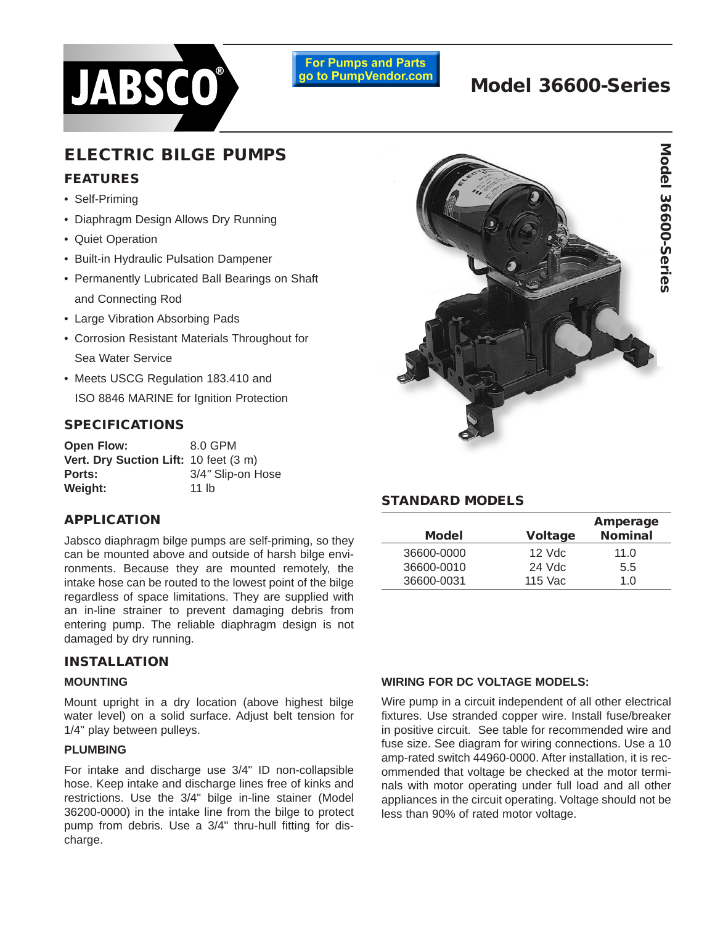

**For Pumps and Parts** go to PumpVendor.com

# **Model 36600-Series**

# **ELECTRIC BILGE PUMPS**

## **FEATURES**

- Self-Priming
- Diaphragm Design Allows Dry Running
- Quiet Operation
- Built-in Hydraulic Pulsation Dampener
- Permanently Lubricated Ball Bearings on Shaft and Connecting Rod
- Large Vibration Absorbing Pads
- Corrosion Resistant Materials Throughout for Sea Water Service
- Meets USCG Regulation 183.410 and ISO 8846 MARINE for Ignition Protection

# **SPECIFICATIONS**

| Open Flow:                            | 8.0 GPM           |
|---------------------------------------|-------------------|
| Vert. Dry Suction Lift: 10 feet (3 m) |                   |
| Ports:                                | 3/4" Slip-on Hose |
| Weight:                               | 11 lb             |

# **APPLICATION**

Jabsco diaphragm bilge pumps are self-priming, so they can be mounted above and outside of harsh bilge environments. Because they are mounted remotely, the intake hose can be routed to the lowest point of the bilge regardless of space limitations. They are supplied with an in-line strainer to prevent damaging debris from entering pump. The reliable diaphragm design is not damaged by dry running.

### **INSTALLATION**

#### **MOUNTING**

Mount upright in a dry location (above highest bilge water level) on a solid surface. Adjust belt tension for 1/4" play between pulleys.

#### **PLUMBING**

For intake and discharge use 3/4" ID non-collapsible hose. Keep intake and discharge lines free of kinks and restrictions. Use the 3/4" bilge in-line stainer (Model 36200-0000) in the intake line from the bilge to protect pump from debris. Use a 3/4" thru-hull fitting for discharge.



# **STANDARD MODELS**

|              |                | Amperage       |
|--------------|----------------|----------------|
| <b>Model</b> | <b>Voltage</b> | <b>Nominal</b> |
| 36600-0000   | $12$ Vdc       | 11. $0$        |
| 36600-0010   | 24 Vdc         | 5.5            |
| 36600-0031   | $115$ Vac      | 1 በ            |

#### **WIRING FOR DC VOLTAGE MODELS:**

Wire pump in a circuit independent of all other electrical fixtures. Use stranded copper wire. Install fuse/breaker in positive circuit. See table for recommended wire and fuse size. See diagram for wiring connections. Use a 10 amp-rated switch 44960-0000. After installation, it is recommended that voltage be checked at the motor terminals with motor operating under full load and all other appliances in the circuit operating. Voltage should not be less than 90% of rated motor voltage.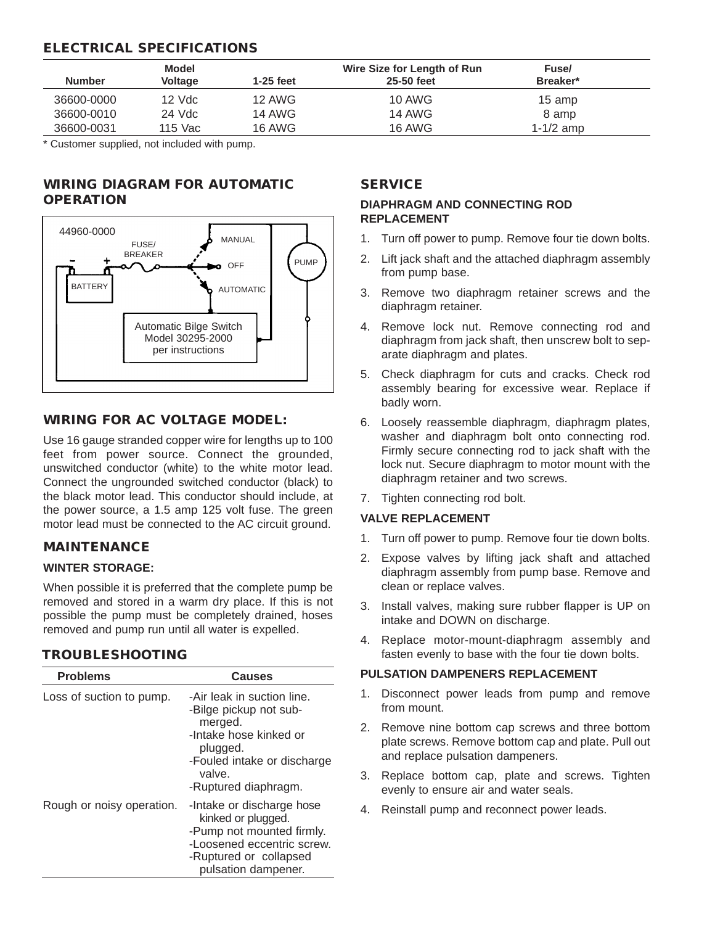# **ELECTRICAL SPECIFICATIONS**

|               | <b>Model</b>   |               | Wire Size for Length of Run | Fuse/       |  |
|---------------|----------------|---------------|-----------------------------|-------------|--|
| <b>Number</b> | <b>Voltage</b> | $1-25$ feet   | 25-50 feet                  | Breaker*    |  |
| 36600-0000    | $12$ Vdc       | <b>12 AWG</b> | 10 AWG                      | 15 amp      |  |
| 36600-0010    | 24 Vdc         | <b>14 AWG</b> | <b>14 AWG</b>               | 8 amp       |  |
| 36600-0031    | 115 Vac        | 16 AWG        | <b>16 AWG</b>               | $1-1/2$ amp |  |

\* Customer supplied, not included with pump.

## **WIRING DIAGRAM FOR AUTOMATIC OPERATION**



# **WIRING FOR AC VOLTAGE MODEL:**

Use 16 gauge stranded copper wire for lengths up to 100 feet from power source. Connect the grounded, unswitched conductor (white) to the white motor lead. Connect the ungrounded switched conductor (black) to the black motor lead. This conductor should include, at the power source, a 1.5 amp 125 volt fuse. The green motor lead must be connected to the AC circuit ground.

### **MAINTENANCE**

#### **WINTER STORAGE:**

When possible it is preferred that the complete pump be removed and stored in a warm dry place. If this is not possible the pump must be completely drained, hoses removed and pump run until all water is expelled.

# **TROUBLESHOOTING**

| <b>Problems</b>           | <b>Causes</b>                                                                                                                                                          |
|---------------------------|------------------------------------------------------------------------------------------------------------------------------------------------------------------------|
| Loss of suction to pump.  | -Air leak in suction line.<br>-Bilge pickup not sub-<br>merged.<br>-Intake hose kinked or<br>plugged.<br>-Fouled intake or discharge<br>valve.<br>-Ruptured diaphragm. |
| Rough or noisy operation. | -Intake or discharge hose<br>kinked or plugged.<br>-Pump not mounted firmly.<br>-Loosened eccentric screw.<br>-Ruptured or collapsed<br>pulsation dampener.            |

# **SERVICE**

#### **DIAPHRAGM AND CONNECTING ROD REPLACEMENT**

- 1. Turn off power to pump. Remove four tie down bolts.
- 2. Lift jack shaft and the attached diaphragm assembly from pump base.
- 3. Remove two diaphragm retainer screws and the diaphragm retainer.
- 4. Remove lock nut. Remove connecting rod and diaphragm from jack shaft, then unscrew bolt to separate diaphragm and plates.
- 5. Check diaphragm for cuts and cracks. Check rod assembly bearing for excessive wear. Replace if badly worn.
- 6. Loosely reassemble diaphragm, diaphragm plates, washer and diaphragm bolt onto connecting rod. Firmly secure connecting rod to jack shaft with the lock nut. Secure diaphragm to motor mount with the diaphragm retainer and two screws.
- 7. Tighten connecting rod bolt.

#### **VALVE REPLACEMENT**

- 1. Turn off power to pump. Remove four tie down bolts.
- 2. Expose valves by lifting jack shaft and attached diaphragm assembly from pump base. Remove and clean or replace valves.
- 3. Install valves, making sure rubber flapper is UP on intake and DOWN on discharge.
- 4. Replace motor-mount-diaphragm assembly and fasten evenly to base with the four tie down bolts.

#### **PULSATION DAMPENERS REPLACEMENT**

- 1. Disconnect power leads from pump and remove from mount.
- 2. Remove nine bottom cap screws and three bottom plate screws. Remove bottom cap and plate. Pull out and replace pulsation dampeners.
- 3. Replace bottom cap, plate and screws. Tighten evenly to ensure air and water seals.
- 4. Reinstall pump and reconnect power leads.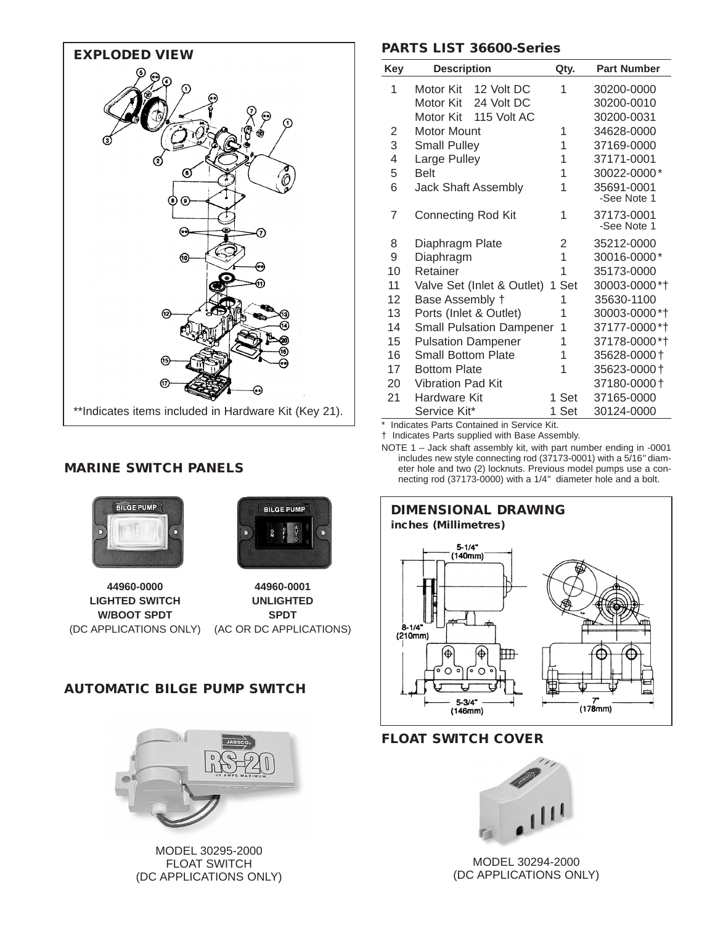

# **MARINE SWITCH PANELS**





**44960-0000 LIGHTED SWITCH W/BOOT SPDT** (DC APPLICATIONS ONLY) (AC OR DC APPLICATIONS)

**44960-0001 UNLIGHTED SPDT**

# **AUTOMATIC BILGE PUMP SWITCH**



MODEL 30295-2000 FLOAT SWITCH (DC APPLICATIONS ONLY)

# **PARTS LIST 36600-Series**

| <b>Key</b> | <b>Description</b>              | Qty.     | <b>Part Number</b>        |
|------------|---------------------------------|----------|---------------------------|
| 1          | Motor Kit<br>12 Volt DC         | 1        | 30200-0000                |
|            | 24 Volt DC<br>Motor Kit         |          | 30200-0010                |
|            | 115 Volt AC<br>Motor Kit        |          | 30200-0031                |
| 2          | <b>Motor Mount</b>              | 1        | 34628-0000                |
| 3          | <b>Small Pulley</b>             | 1        | 37169-0000                |
| 4          | Large Pulley                    | 1        | 37171-0001                |
| 5          | <b>Belt</b>                     | 1        | 30022-0000*               |
| 6          | <b>Jack Shaft Assembly</b>      | 1        | 35691-0001<br>-See Note 1 |
| 7          | <b>Connecting Rod Kit</b>       | 1        | 37173-0001<br>-See Note 1 |
| 8          | Diaphragm Plate                 | 2        | 35212-0000                |
| 9          | Diaphragm                       | 1        | 30016-0000*               |
| 10         | Retainer                        | 1        | 35173-0000                |
| 11         | Valve Set (Inlet & Outlet)      | 1 Set    | 30003-0000*†              |
| 12         | Base Assembly +                 | 1        | 35630-1100                |
| 13         | Ports (Inlet & Outlet)          | 1        | 30003-0000*†              |
| 14         | <b>Small Pulsation Dampener</b> | 1        | 37177-0000*†              |
| 15         | <b>Pulsation Dampener</b>       | 1        | 37178-0000*†              |
| 16         | Small Bottom Plate              | 1        | 35628-0000+               |
| 17         | <b>Bottom Plate</b>             | 1        | 35623-0000+               |
| 20         | Vibration Pad Kit               |          | 37180-0000+               |
| 21         | Hardware Kit                    | 1 Set    | 37165-0000                |
|            | Service Kit*<br>$\cdots$        | Set<br>1 | 30124-0000                |

Indicates Parts Contained in Service Kit.

† Indicates Parts supplied with Base Assembly.

NOTE 1 – Jack shaft assembly kit, with part number ending in -0001 includes new style connecting rod (37173-0001) with a 5/16" diameter hole and two (2) locknuts. Previous model pumps use a connecting rod (37173-0000) with a 1/4" diameter hole and a bolt.



# **FLOAT SWITCH COVER**



MODEL 30294-2000 (DC APPLICATIONS ONLY)